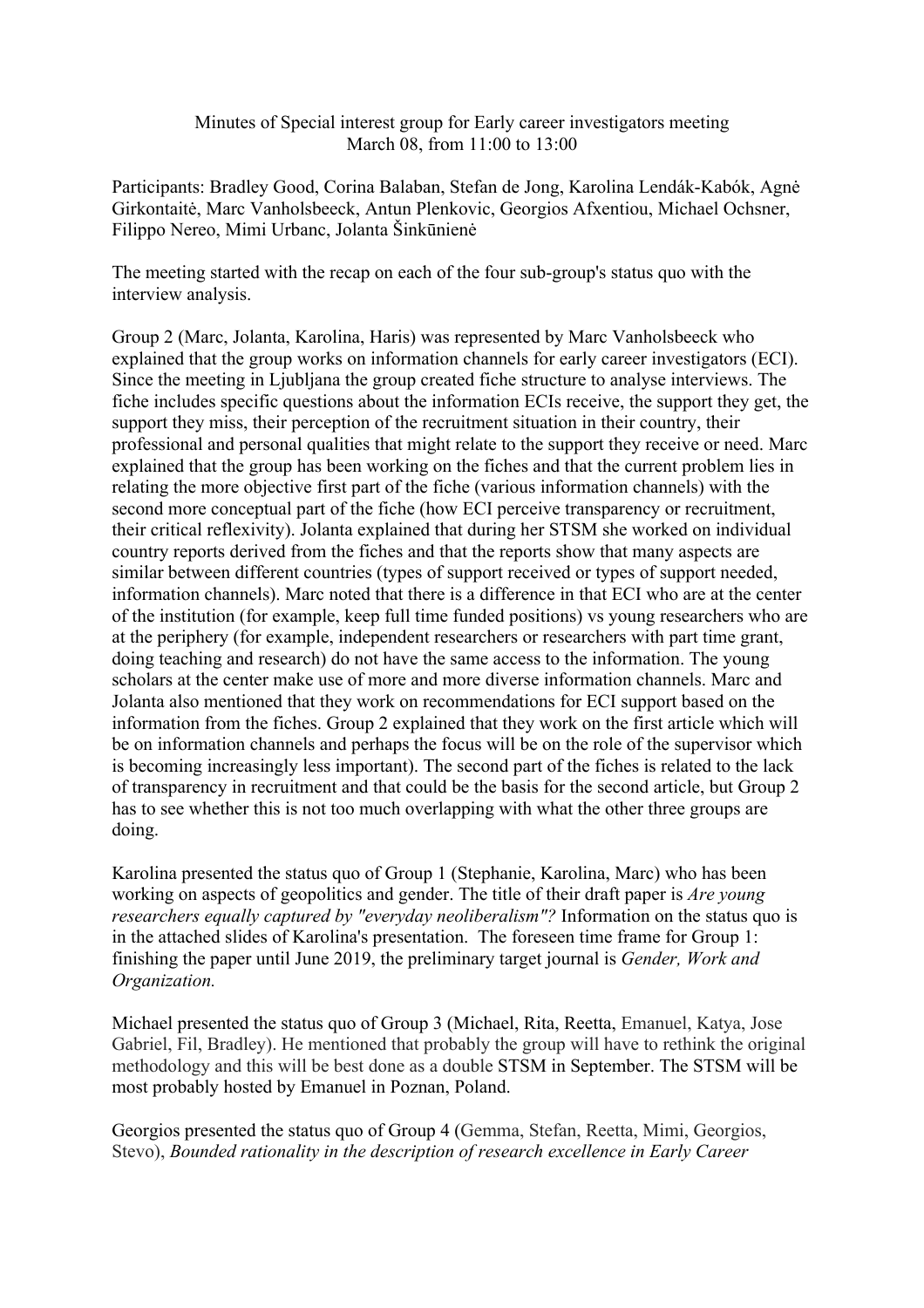## Minutes of Special interest group for Early career investigators meeting March 08, from 11:00 to 13:00

Participants: Bradley Good, Corina Balaban, Stefan de Jong, Karolina Lendák-Kabók, Agnė Girkontaitė, Marc Vanholsbeeck, Antun Plenkovic, Georgios Afxentiou, Michael Ochsner, Filippo Nereo, Mimi Urbanc, Jolanta Šinkūnienė

The meeting started with the recap on each of the four sub-group's status quo with the interview analysis.

Group 2 (Marc, Jolanta, Karolina, Haris) was represented by Marc Vanholsbeeck who explained that the group works on information channels for early career investigators (ECI). Since the meeting in Ljubljana the group created fiche structure to analyse interviews. The fiche includes specific questions about the information ECIs receive, the support they get, the support they miss, their perception of the recruitment situation in their country, their professional and personal qualities that might relate to the support they receive or need. Marc explained that the group has been working on the fiches and that the current problem lies in relating the more objective first part of the fiche (various information channels) with the second more conceptual part of the fiche (how ECI perceive transparency or recruitment, their critical reflexivity). Jolanta explained that during her STSM she worked on individual country reports derived from the fiches and that the reports show that many aspects are similar between different countries (types of support received or types of support needed, information channels). Marc noted that there is a difference in that ECI who are at the center of the institution (for example, keep full time funded positions) vs young researchers who are at the periphery (for example, independent researchers or researchers with part time grant, doing teaching and research) do not have the same access to the information. The young scholars at the center make use of more and more diverse information channels. Marc and Jolanta also mentioned that they work on recommendations for ECI support based on the information from the fiches. Group 2 explained that they work on the first article which will be on information channels and perhaps the focus will be on the role of the supervisor which is becoming increasingly less important). The second part of the fiches is related to the lack of transparency in recruitment and that could be the basis for the second article, but Group 2 has to see whether this is not too much overlapping with what the other three groups are doing.

Karolina presented the status quo of Group 1 (Stephanie, Karolina, Marc) who has been working on aspects of geopolitics and gender. The title of their draft paper is *Are young researchers equally captured by "everyday neoliberalism"?* Information on the status quo is in the attached slides of Karolina's presentation. The foreseen time frame for Group 1: finishing the paper until June 2019, the preliminary target journal is *Gender, Work and Organization.*

Michael presented the status quo of Group 3 (Michael, Rita, Reetta, Emanuel, Katya, Jose Gabriel, Fil, Bradley). He mentioned that probably the group will have to rethink the original methodology and this will be best done as a double STSM in September. The STSM will be most probably hosted by Emanuel in Poznan, Poland.

Georgios presented the status quo of Group 4 (Gemma, Stefan, Reetta, Mimi, Georgios, Stevo), *Bounded rationality in the description of research excellence in Early Career*